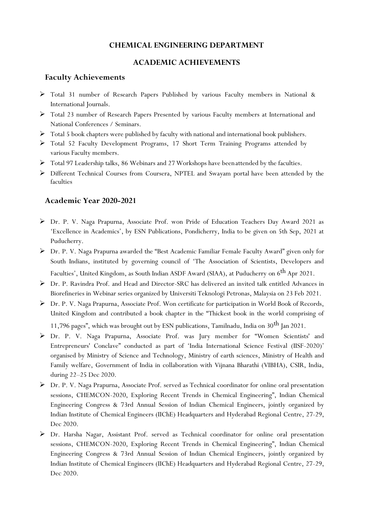# **CHEMICAL ENGINEERING DEPARTMENT**

# **ACADEMIC ACHIEVEMENTS**

# **Faculty Achievements**

- Total 31 number of Research Papers Published by various Faculty members in National & International Journals.
- Total 23 number of Research Papers Presented by various Faculty members at International and National Conferences / Seminars.
- $\triangleright$  Total 5 book chapters were published by faculty with national and international book publishers.
- Total 52 Faculty Development Programs, 17 Short Term Training Programs attended by various Faculty members.
- $\triangleright$  Total 97 Leadership talks, 86 Webinars and 27 Workshops have been attended by the faculties.
- Different Technical Courses from Coursera, NPTEL and Swayam portal have been attended by the faculties

# **Academic Year 2020-2021**

- Dr. P. V. Naga Prapurna, Associate Prof. won Pride of Education Teachers Day Award 2021 as 'Excellence in Academics', by ESN Publications, Pondicherry, India to be given on 5th Sep, 2021 at Puducherry.
- Dr. P. V. Naga Prapurna awarded the "Best Academic Familiar Female Faculty Award" given only for South Indians, instituted by governing council of 'The Association of Scientists, Developers and Faculties', United Kingdom, as South Indian ASDF Award (SIAA), at Puducherry on  $6^{\rm th}$  Apr 2021.
- Dr. P. Ravindra Prof. and Head and Director-SRC has delivered an invited talk entitled Advances in Biorefineries in Webinar series organized by Universiti Teknologi Petronas, Malaysia on 23 Feb 2021.
- Dr. P. V. Naga Prapurna, Associate Prof. Won certificate for participation in World Book of Records, United Kingdom and contributed a book chapter in the "Thickest book in the world comprising of 11,796 pages", which was brought out by ESN publications, Tamilnadu, India on 30<sup>th</sup> Jan 2021.
- Dr. P. V. Naga Prapurna, Associate Prof. was Jury member for "Women Scientists' and Entrepreneurs' Conclave" conducted as part of 'India International Science Festival (IISF-2020)' organised by Ministry of Science and Technology, Ministry of earth sciences, Ministry of Health and Family welfare, Government of India in collaboration with Vijnana Bharathi (VIBHA), CSIR, India, during 22–25 Dec 2020.
- Dr. P. V. Naga Prapurna, Associate Prof. served as Technical coordinator for online oral presentation sessions, CHEMCON-2020, Exploring Recent Trends in Chemical Engineering", Indian Chemical Engineering Congress & 73rd Annual Session of Indian Chemical Engineers, jointly organized by Indian Institute of Chemical Engineers (IIChE) Headquarters and Hyderabad Regional Centre, 27-29, Dec 2020.
- Dr. Harsha Nagar, Assistant Prof. served as Technical coordinator for online oral presentation sessions, CHEMCON-2020, Exploring Recent Trends in Chemical Engineering", Indian Chemical Engineering Congress & 73rd Annual Session of Indian Chemical Engineers, jointly organized by Indian Institute of Chemical Engineers (IIChE) Headquarters and Hyderabad Regional Centre, 27-29, Dec 2020.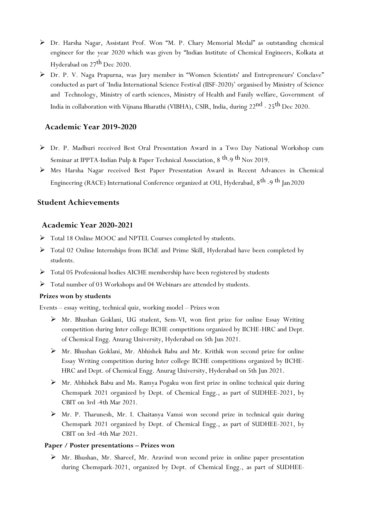- Dr. Harsha Nagar, Assistant Prof. Won "M. P. Chary Memorial Medal" as outstanding chemical engineer for the year 2020 which was given by "Indian Institute of Chemical Engineers, Kolkata at Hyderabad on 27<sup>th</sup> Dec 2020.
- Dr. P. V. Naga Prapurna, was Jury member in "Women Scientists' and Entrepreneurs' Conclave" conducted as part of 'India International Science Festival (IISF-2020)' organised by Ministry of Science and Technology, Ministry of earth sciences, Ministry of Health and Fanily welfare, Government of India in collaboration with Vijnana Bharathi (VIBHA), CSIR, India, during 22 $^{\rm nd}$  - 25 $^{\rm th}$  Dec 2020.

## **Academic Year 2019-2020**

- Dr. P. Madhuri received Best Oral Presentation Award in a Two Day National Workshop cum Seminar at IPPTA-Indian Pulp & Paper Technical Association, 8  $^{\rm th}$ -9  $^{\rm th}$  Nov 2019.
- Mrs Harsha Nagar received Best Paper Presentation Award in Recent Advances in Chemical Engineering (RACE) International Conference organized at OU, Hyderabad, 8<sup>th</sup> -9 <sup>th</sup> Jan 2020

# **Student Achievements**

### **Academic Year 2020-2021**

- > Total 18 Online MOOC and NPTEL Courses completed by students.
- Total 02 Online Internships from IIChE and Prime Skill, Hyderabad have been completed by students.
- Total 05 Professional bodies AICHE membership have been registered by students
- $\triangleright$  Total number of 03 Workshops and 04 Webinars are attended by students.

#### **Prizes won by students**

Events – essay writing, technical quiz, working model – Prizes won

- Mr. Bhushan Goklani, UG student, Sem-VI, won first prize for online Essay Writing competition during Inter college IICHE competitions organized by IICHE-HRC and Dept. of Chemical Engg. Anurag University, Hyderabad on 5th Jun 2021.
- Mr. Bhushan Goklani, Mr. Abhishek Babu and Mr. Krithik won second prize for online Essay Writing competition during Inter college IICHE competitions organized by IICHE-HRC and Dept. of Chemical Engg. Anurag University, Hyderabad on 5th Jun 2021.
- Mr. Abhishek Babu and Ms. Ramya Pogaku won first prize in online technical quiz during Chemspark 2021 organized by Dept. of Chemical Engg., as part of SUDHEE-2021, by CBIT on 3rd -4th Mar 2021.
- $\triangleright$  Mr. P. Tharunesh, Mr. I. Chaitanya Vamsi won second prize in technical quiz during Chemspark 2021 organized by Dept. of Chemical Engg., as part of SUDHEE-2021, by CBIT on 3rd -4th Mar 2021.

#### **Paper / Poster presentations – Prizes won**

 Mr. Bhushan, Mr. Shareef, Mr. Aravind won second prize in online paper presentation during Chemspark-2021, organized by Dept. of Chemical Engg., as part of SUDHEE-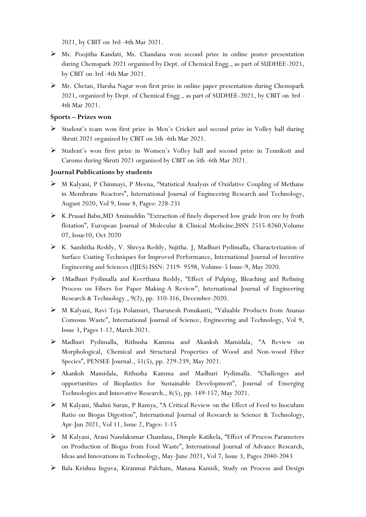2021, by CBIT on 3rd -4th Mar 2021.

- Ms. Poojitha Kandati, Ms. Chandana won second prize in online poster presentation during Chemspark 2021 organized by Dept. of Chemical Engg., as part of SUDHEE-2021, by CBIT on 3rd -4th Mar 2021.
- Mr. Chetan, Harsha Nagar won first prize in online paper presentation during Chemspark 2021, organized by Dept. of Chemical Engg., as part of SUDHEE-2021, by CBIT on 3rd - 4th Mar 2021.

## **Sports – Prizes won**

- Student's team won first prize in Men's Cricket and second prize in Volley ball during Shruti 2021 organized by CBIT on 5th -6th Mar 2021.
- Student's won first prize in Women's Volley ball and second prize in Tennikoit and Caroms during Shruti 2021 organized by CBIT on 5th -6th Mar 2021.

# **Journal Publications by students**

- M Kalyani, P Chinmayi, P Meena, "Statistical Analysis of Oxidative Coupling of Methane in Membrane Reactors", International Journal of Engineering Research and Technology, August 2020, Vol 9, Issue 8, Pages: 228-231
- $\triangleright$  K.Prasad Babu, MD Aminuddin "Extraction of finely dispersed low grade Iron ore by froth flotation", European Journal of Molecular & Clinical Medicine,ISSN 2515-8260,Volume 07, Issue10, Oct 2020
- $\triangleright$  K. Samhitha Reddy, V. Shreya Reddy, Sujitha. J, Madhuri Pydimalla, Characterization of Surface Coating Techniques for Improved Performance, International Journal of Inventive Engineering and Sciences (IJIES) ISSN: 2319- 9598, Volume-5 Issue-9, May 2020.
- 1Madhuri Pydimalla and Keerthana Reddy, "Effect of Pulping, Bleaching and Refining Process on Fibers for Paper Making-A Review", International Journal of Engineering Research & Technology., 9(2), pp. 310-316, December-2020.
- M Kalyani, Ravi Teja Polamuri, Tharunesh Ponukanti, "Valuable Products from Ananas Comosus Waste", International Journal of Science, Engineering and Technology, Vol 9, Issue 3, Pages 1-12, March 2021.
- Madhuri Pydimalla, Rithusha Kamma and Akanksh Mamidala, "A Review on Morphological, Chemical and Structural Properties of Wood and Non-wood Fiber Species", PENSEE Journal., 51(5), pp. 229-239, May 2021.
- Akanksh Mamidala, Rithusha Kamma and Madhuri Pydimalla. "Challenges and opportunities of Bioplastics for Sustainable Development", Journal of Emerging Technologies and Innovative Research., 8(5), pp. 149-157, May 2021.
- M Kalyani, Shalini Suran, P Ramya, "A Critical Review on the Effect of Feed to Inoculum Ratio on Biogas Digestion", International Journal of Research in Science & Technology, Apr-Jun 2021, Vol 11, Issue 2, Pages: 1-15
- M Kalyani, Arani Nandakumar Chandana, Dimple Katikela, "Effect of Process Parameters on Production of Biogas from Food Waste", International Journal of Advance Research, Ideas and Innovations in Technology, May-June 2021, Vol 7, Issue 3, Pages 2040-2043
- Bala Krishna Inguva, Kiranmai Palcham, Manasa Kamidi, Study on Process and Design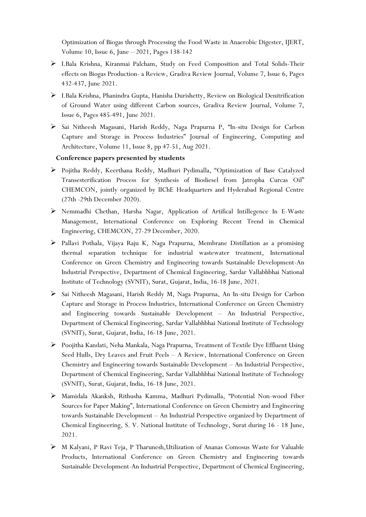Optimization of Biogas through Processing the Food Waste in Anaerobic Digester, IJERT, Volume 10, Issue 6, June – 2021, Pages 138-142

- I.Bala Krishna, Kiranmai Palcham, Study on Feed Composition and Total Solids-Their effects on Biogas Production- a Review, Gradiva Review Journal, Volume 7, Issue 6, Pages 432-437, June 2021.
- I.Bala Krishna, Phanindra Gupta, Hanisha Durishetty, Review on Biological Denitrification of Ground Water using different Carbon sources, Gradiva Review Journal, Volume 7, Issue 6, Pages 485-491, June 2021.
- > Sai Nitheesh Magasani, Harish Reddy, Naga Prapurna P, "In-situ Design for Carbon Capture and Storage in Process Industries" Journal of Engineering, Computing and Architecture, Volume 11, Issue 8, pp 47-51, Aug 2021.

#### **Conference papers presented by students**

- Pojitha Reddy, Keerthana Reddy, Madhuri Pydimalla, "Optimization of Base Catalyzed Transesterification Process for Synthesis of Biodiesel from Jatropha Curcas Oil" CHEMCON, jointly organized by IIChE Headquarters and Hyderabad Regional Centre (27th -29th December 2020).
- Nemmadhi Chethan, Harsha Nagar, Application of Artifical Intillegence In E-Waste Management, International Conference on Exploring Recent Trend in Chemical Engineering, CHEMCON, 27-29 December, 2020.
- Pallavi Pothala, Vijaya Raju K, Naga Prapurna, Membrane Distillation as a promising thermal separation technique for industrial wastewater treatment, International Conference on Green Chemistry and Engineering towards Sustainable Development-An Industrial Perspective, Department of Chemical Engineering, Sardar Vallabhbhai National Institute of Technology (SVNIT), Surat, Gujarat, India, 16-18 June, 2021.
- $\triangleright$  Sai Nitheesh Magasani, Harish Reddy M, Naga Prapurna, An In-situ Design for Carbon Capture and Storage in Process Industries, International Conference on Green Chemistry and Engineering towards Sustainable Development – An Industrial Perspective, Department of Chemical Engineering, Sardar Vallabhbhai National Institute of Technology (SVNIT), Surat, Gujarat, India, 16-18 June, 2021.
- Poojitha Kandati, Neha Mankala, Naga Prapurna, Treatment of Textile Dye Effluent Using Seed Hulls, Dry Leaves and Fruit Peels – A Review, International Conference on Green Chemistry and Engineering towards Sustainable Development – An Industrial Perspective, Department of Chemical Engineering, Sardar Vallabhbhai National Institute of Technology (SVNIT), Surat, Gujarat, India, 16-18 June, 2021.
- Mamidala Akanksh, Rithusha Kamma, Madhuri Pydimalla, "Potential Non-wood Fiber Sources for Paper Making", International Conference on Green Chemistry and Engineering towards Sustainable Development – An Industrial Perspective organized by Department of Chemical Engineering, S. V. National Institute of Technology, Surat during 16 - 18 June, 2021.
- M Kalyani, P Ravi Teja, P Tharunesh,Utilization of Ananas Comosus Waste for Valuable Products, International Conference on Green Chemistry and Engineering towards Sustainable Development-An Industrial Perspective, Department of Chemical Engineering,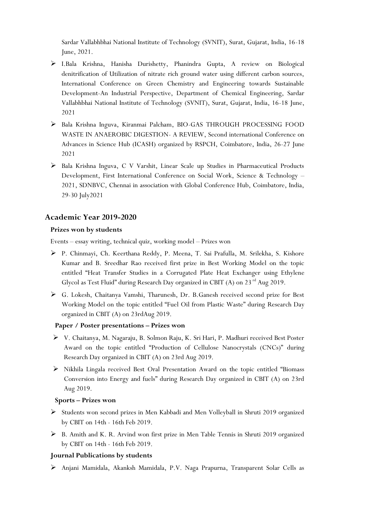Sardar Vallabhbhai National Institute of Technology (SVNIT), Surat, Gujarat, India, 16-18 June, 2021.

- I.Bala Krishna, Hanisha Durishetty, Phanindra Gupta, A review on Biological denitrification of Utilization of nitrate rich ground water using different carbon sources, International Conference on Green Chemistry and Engineering towards Sustainable Development-An Industrial Perspective, Department of Chemical Engineering, Sardar Vallabhbhai National Institute of Technology (SVNIT), Surat, Gujarat, India, 16-18 June, 2021
- Bala Krishna Inguva, Kiranmai Palcham, BIO-GAS THROUGH PROCESSING FOOD WASTE IN ANAEROBIC DIGESTION- A REVIEW, Second international Conference on Advances in Science Hub (ICASH) organized by RSPCH, Coimbatore, India, 26-27 June 2021
- Bala Krishna Inguva, C V Varshit, Linear Scale up Studies in Pharmaceutical Products Development, First International Conference on Social Work, Science & Technology – 2021, SDNBVC, Chennai in association with Global Conference Hub, Coimbatore, India, 29-30 July2021

# **Academic Year 2019-2020**

### **Prizes won by students**

Events – essay writing, technical quiz, working model – Prizes won

- P. Chinmayi, Ch. Keerthana Reddy, P. Meena, T. Sai Prafulla, M. Srilekha, S. Kishore Kumar and B. Sreedhar Rao received first prize in Best Working Model on the topic entitled "Heat Transfer Studies in a Corrugated Plate Heat Exchanger using Ethylene Glycol as Test Fluid" during Research Day organized in CBIT  $(A)$  on 23<sup>rd</sup> Aug 2019.
- G. Lokesh, Chaitanya Vamshi, Tharunesh, Dr. B.Ganesh received second prize for Best Working Model on the topic entitled "Fuel Oil from Plastic Waste" during Research Day organized in CBIT (A) on 23rdAug 2019.

### **Paper / Poster presentations – Prizes won**

- V. Chaitanya, M. Nagaraju, B. Solmon Raju, K. Sri Hari, P. Madhuri received Best Poster Award on the topic entitled "Production of Cellulose Nanocrystals (CNCs)" during Research Day organized in CBIT (A) on 23rd Aug 2019.
- $\triangleright$  Nikhila Lingala received Best Oral Presentation Award on the topic entitled "Biomass" Conversion into Energy and fuels" during Research Day organized in CBIT (A) on 23rd Aug 2019.

### **Sports – Prizes won**

- Students won second prizes in Men Kabbadi and Men Volleyball in Shruti 2019 organized by CBIT on 14th - 16th Feb 2019.
- $\triangleright$  B. Amith and K. R. Arvind won first prize in Men Table Tennis in Shruti 2019 organized by CBIT on 14th - 16th Feb 2019.

### **Journal Publications by students**

Anjani Mamidala, Akanksh Mamidala, P.V. Naga Prapurna, Transparent Solar Cells as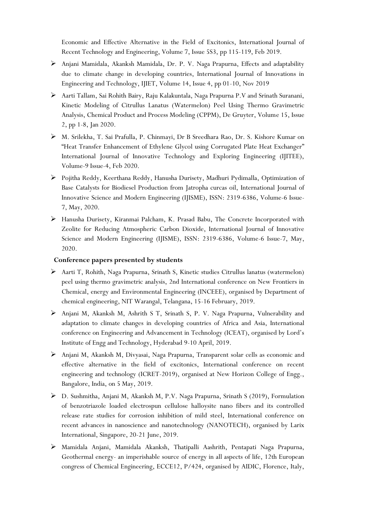Economic and Effective Alternative in the Field of Excitonics, International Journal of Recent Technology and Engineering, Volume 7, Issue 5S3, pp 115-119, Feb 2019.

- Anjani Mamidala, Akanksh Mamidala, Dr. P. V. Naga Prapurna, Effects and adaptability due to climate change in developing countries, International Journal of Innovations in Engineering and Technology, IJIET, Volume 14, Issue 4, pp 01-10, Nov 2019
- Aarti Tallam, Sai Rohith Bairy, Raju Kalakuntala, Naga Prapurna P.V and Srinath Suranani, Kinetic Modeling of Citrullus Lanatus (Watermelon) Peel Using Thermo Gravimetric Analysis, Chemical Product and Process Modeling (CPPM), De Gruyter, Volume 15, Issue 2, pp 1-8, Jan 2020.
- M. Srilekha, T. Sai Prafulla, P. Chinmayi, Dr B Sreedhara Rao, Dr. S. Kishore Kumar on "Heat Transfer Enhancement of Ethylene Glycol using Corrugated Plate Heat Exchanger" International Journal of Innovative Technology and Exploring Engineering (IJITEE), Volume-9 Issue-4, Feb 2020.
- Pojitha Reddy, Keerthana Reddy, Hanusha Durisety, Madhuri Pydimalla, Optimization of Base Catalysts for Biodiesel Production from Jatropha curcas oil, International Journal of Innovative Science and Modern Engineering (IJISME), ISSN: 2319-6386, Volume-6 Issue-7, May, 2020.
- Hanusha Durisety, Kiranmai Palcham, K. Prasad Babu, The Concrete Incorporated with Zeolite for Reducing Atmospheric Carbon Dioxide, International Journal of Innovative Science and Modern Engineering (IJISME), ISSN: 2319-6386, Volume-6 Issue-7, May, 2020.

### **Conference papers presented by students**

- $\triangleright$  Aarti T, Rohith, Naga Prapurna, Srinath S, Kinetic studies Citrullus lanatus (watermelon) peel using thermo gravimetric analysis, 2nd International conference on New Frontiers in Chemical, energy and Environmental Engineering (INCEEE), organised by Department of chemical engineering, NIT Warangal, Telangana, 15-16 February, 2019.
- Anjani M, Akanksh M, Ashrith S T, Srinath S, P. V. Naga Prapurna, Vulnerability and adaptation to climate changes in developing countries of Africa and Asia, International conference on Engineering and Advancement in Technology (ICEAT), organised by Lord's Institute of Engg and Technology, Hyderabad 9-10 April, 2019.
- $\triangleright$  Anjani M, Akanksh M, Divyasai, Naga Prapurna, Transparent solar cells as economic and effective alternative in the field of excitonics, International conference on recent engineering and technology (ICRET-2019), organised at New Horizon College of Engg., Bangalore, India, on 5 May, 2019.
- D. Sushmitha, Anjani M, Akanksh M, P.V. Naga Prapurna, Srinath S (2019), Formulation of benzotriazole loaded electrospun cellulose halloysite nano fibers and its controlled release rate studies for corrosion inhibition of mild steel, International conference on recent advances in nanoscience and nanotechnology (NANOTECH), organised by Larix International, Singapore, 20-21 June, 2019.
- Mamidala Anjani, Mamidala Akanksh, Thatipalli Aashrith, Pentapati Naga Prapurna, Geothermal energy- an imperishable source of energy in all aspects of life, 12th European congress of Chemical Engineering, ECCE12, P/424, organised by AIDIC, Florence, Italy,